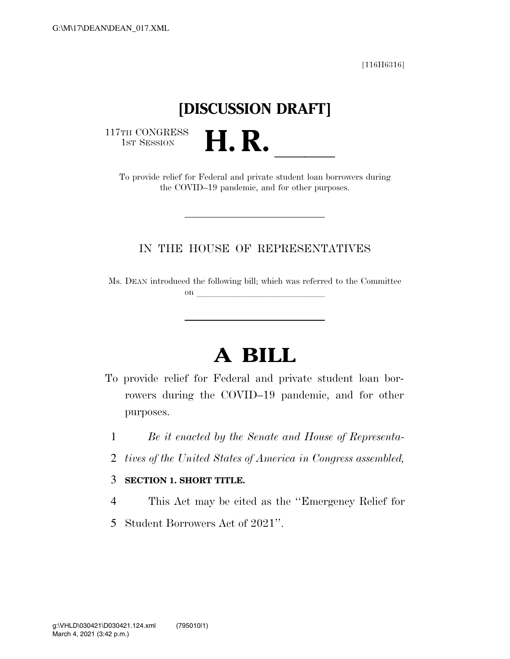[116H6316]

## **[DISCUSSION DRAFT]**

117TH CONGRESS<br>1st Session

TH CONGRESS<br>1st SESSION **H. R. H. R. A. B. A. CONGRESS**<br>To provide relief for Federal and private student loan borrowers during the COVID–19 pandemic, and for other purposes.

### IN THE HOUSE OF REPRESENTATIVES

Ms. DEAN introduced the following bill; which was referred to the Committee on  $\qquad \qquad$ 

# **A BILL**

- To provide relief for Federal and private student loan borrowers during the COVID–19 pandemic, and for other purposes.
	- 1 *Be it enacted by the Senate and House of Representa-*
	- 2 *tives of the United States of America in Congress assembled,*

#### 3 **SECTION 1. SHORT TITLE.**

- 4 This Act may be cited as the ''Emergency Relief for
- 5 Student Borrowers Act of 2021''.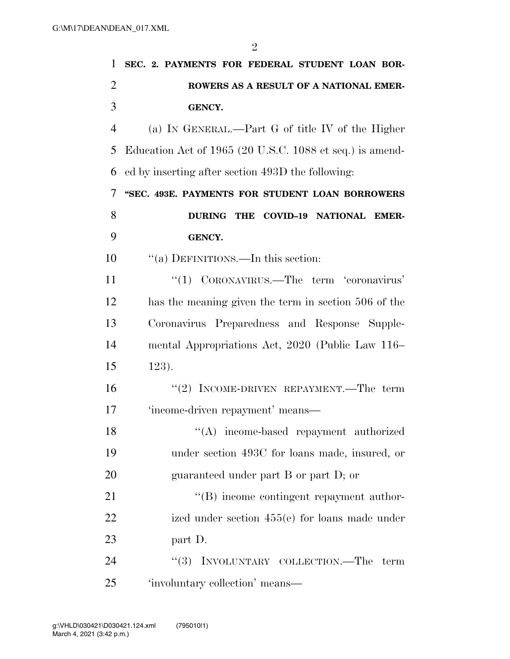| 1              | SEC. 2. PAYMENTS FOR FEDERAL STUDENT LOAN BOR-           |
|----------------|----------------------------------------------------------|
| $\overline{2}$ | ROWERS AS A RESULT OF A NATIONAL EMER-                   |
| 3              | <b>GENCY.</b>                                            |
| $\overline{4}$ | (a) IN GENERAL.—Part G of title IV of the Higher         |
| 5              | Education Act of 1965 (20 U.S.C. 1088 et seq.) is amend- |
| 6              | ed by inserting after section 493D the following:        |
| 7              | "SEC. 493E. PAYMENTS FOR STUDENT LOAN BORROWERS          |
| 8              | <b>DURING THE</b><br><b>COVID-19 NATIONAL EMER-</b>      |
| 9              | <b>GENCY.</b>                                            |
| 10             | "(a) DEFINITIONS.—In this section:                       |
| 11             | "(1) CORONAVIRUS.—The term 'coronavirus'                 |
| 12             | has the meaning given the term in section 506 of the     |
| 13             | Coronavirus Preparedness and Response Supple-            |
| 14             | mental Appropriations Act, 2020 (Public Law 116–         |
| 15             | $123$ .                                                  |
| 16             | "(2) INCOME-DRIVEN REPAYMENT.—The term                   |
| 17             | 'income-driven repayment' means—                         |
| 18             | "(A) income-based repayment authorized                   |
| 19             | under section 493C for loans made, insured, or           |
| 20             | guaranteed under part B or part D; or                    |
| 21             | $\lq\lq (B)$ income contingent repayment author-         |
| 22             | ized under section $455(e)$ for loans made under         |
| 23             | part D.                                                  |
| 24             | INVOLUNTARY COLLECTION.—The<br>``(3)<br>term             |
| 25             | 'involuntary collection' means-                          |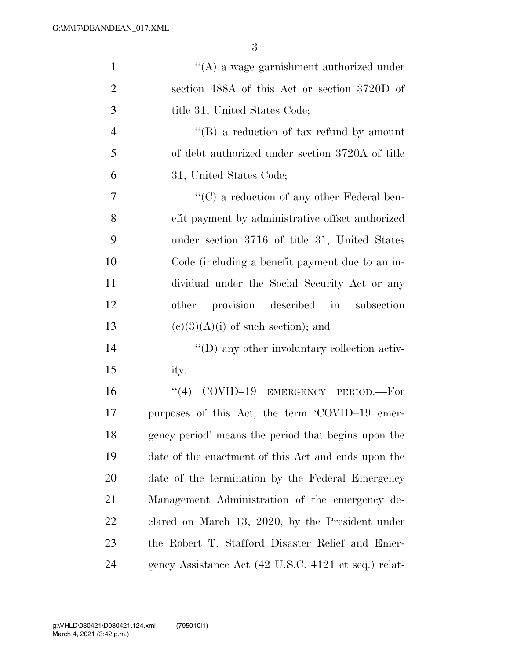| $\mathbf{1}$   | $\lq\lq$ a wage garnishment authorized under         |
|----------------|------------------------------------------------------|
| $\mathfrak{2}$ | section 488A of this Act or section 3720D of         |
| 3              | title 31, United States Code;                        |
| $\overline{4}$ | $\lq\lq (B)$ a reduction of tax refund by amount     |
| 5              | of debt authorized under section 3720A of title      |
| 6              | 31, United States Code;                              |
| $\overline{7}$ | $\lq\lq$ a reduction of any other Federal ben-       |
| 8              | efit payment by administrative offset authorized     |
| 9              | under section 3716 of title 31, United States        |
| 10             | Code (including a benefit payment due to an in-      |
| 11             | dividual under the Social Security Act or any        |
| 12             | provision described in<br>subsection<br>other        |
| 13             | $(e)(3)(A)(i)$ of such section); and                 |
| 14             | $\lq\lq$ any other involuntary collection activ-     |
| 15             | ity.                                                 |
| 16             | COVID-19 EMERGENCY PERIOD.-For<br>(4)                |
| 17             | purposes of this Act, the term 'COVID-19 emer-       |
| 18             | gency period' means the period that begins upon the  |
| 19             | date of the enactment of this Act and ends upon the  |
| 20             | date of the termination by the Federal Emergency     |
| 21             | Management Administration of the emergency de-       |
| 22             | clared on March 13, 2020, by the President under     |
| 23             | the Robert T. Stafford Disaster Relief and Emer-     |
| 24             | gency Assistance Act (42 U.S.C. 4121 et seq.) relat- |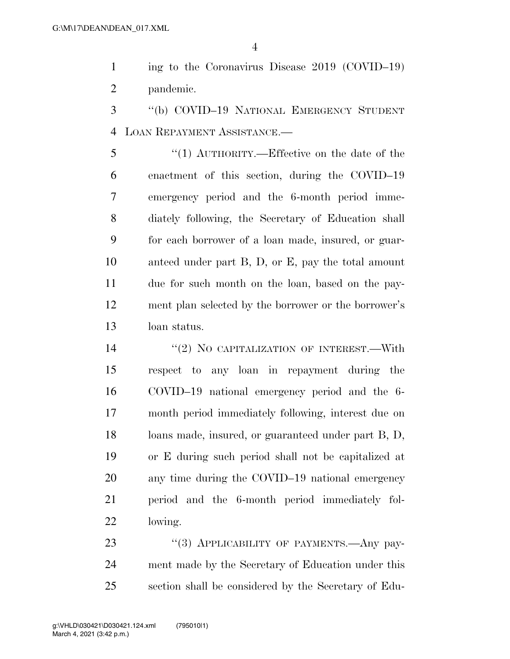ing to the Coronavirus Disease 2019 (COVID–19) pandemic.

 ''(b) COVID–19 NATIONAL EMERGENCY STUDENT LOAN REPAYMENT ASSISTANCE.—

 ''(1) AUTHORITY.—Effective on the date of the enactment of this section, during the COVID–19 emergency period and the 6-month period imme- diately following, the Secretary of Education shall for each borrower of a loan made, insured, or guar- anteed under part B, D, or E, pay the total amount due for such month on the loan, based on the pay- ment plan selected by the borrower or the borrower's loan status.

14 "(2) NO CAPITALIZATION OF INTEREST.—With respect to any loan in repayment during the COVID–19 national emergency period and the 6- month period immediately following, interest due on loans made, insured, or guaranteed under part B, D, or E during such period shall not be capitalized at any time during the COVID–19 national emergency period and the 6-month period immediately fol-lowing.

23 "(3) APPLICABILITY OF PAYMENTS.—Any pay- ment made by the Secretary of Education under this section shall be considered by the Secretary of Edu-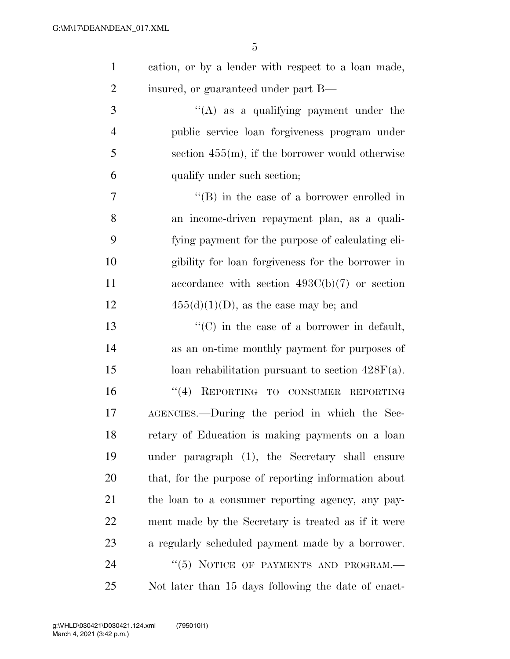| $\mathbf{1}$   | cation, or by a lender with respect to a loan made,  |
|----------------|------------------------------------------------------|
| $\overline{2}$ | insured, or guaranteed under part B—                 |
| 3              | $\lq\lq$ as a qualifying payment under the           |
| $\overline{4}$ | public service loan forgiveness program under        |
| 5              | section $455(m)$ , if the borrower would otherwise   |
| 6              | qualify under such section;                          |
| 7              | $\lq\lq (B)$ in the case of a borrower enrolled in   |
| 8              | an income-driven repayment plan, as a quali-         |
| 9              | fying payment for the purpose of calculating eli-    |
| 10             | gibility for loan forgiveness for the borrower in    |
| 11             | accordance with section $493C(b)(7)$ or section      |
| 12             | $455(d)(1)(D)$ , as the case may be; and             |
| 13             | $\lq\lq$ (C) in the case of a borrower in default,   |
| 14             | as an on-time monthly payment for purposes of        |
| 15             | loan rehabilitation pursuant to section $428F(a)$ .  |
| 16             | "(4) REPORTING TO CONSUMER REPORTING                 |
| 17             | AGENCIES.—During the period in which the Sec-        |
| 18             | retary of Education is making payments on a loan     |
| 19             | under paragraph (1), the Secretary shall ensure      |
| 20             | that, for the purpose of reporting information about |
| 21             | the loan to a consumer reporting agency, any pay-    |
| 22             | ment made by the Secretary is treated as if it were  |
| 23             | a regularly scheduled payment made by a borrower.    |
| 24             | "(5) NOTICE OF PAYMENTS AND PROGRAM.-                |
| 25             | Not later than 15 days following the date of enact-  |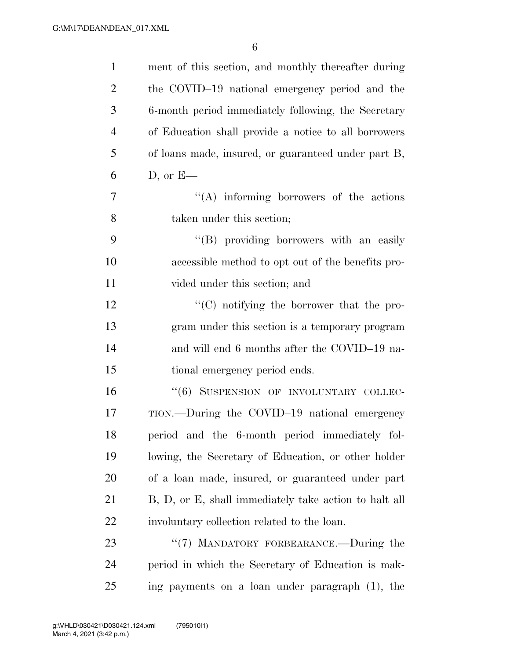| $\mathbf{1}$   | ment of this section, and monthly thereafter during   |
|----------------|-------------------------------------------------------|
| $\overline{2}$ | the COVID-19 national emergency period and the        |
| 3              | 6-month period immediately following, the Secretary   |
| $\overline{4}$ | of Education shall provide a notice to all borrowers  |
| 5              | of loans made, insured, or guaranteed under part B,   |
| 6              | $D,$ or $E$ —                                         |
| 7              | $\lq\lq$ informing borrowers of the actions           |
| 8              | taken under this section;                             |
| 9              | "(B) providing borrowers with an easily               |
| 10             | accessible method to opt out of the benefits pro-     |
| 11             | vided under this section; and                         |
| 12             | "(C) notifying the borrower that the pro-             |
| 13             | gram under this section is a temporary program        |
| 14             | and will end 6 months after the COVID-19 na-          |
| 15             | tional emergency period ends.                         |
| 16             | "(6) SUSPENSION OF INVOLUNTARY COLLEC-                |
| 17             | TION.—During the COVID-19 national emergency          |
| 18             | period and the 6-month period immediately fol-        |
| 19             | lowing, the Secretary of Education, or other holder   |
| 20             | of a loan made, insured, or guaranteed under part     |
| 21             | B, D, or E, shall immediately take action to halt all |
| 22             | involuntary collection related to the loan.           |
| 23             | "(7) MANDATORY FORBEARANCE.—During the                |
| 24             | period in which the Secretary of Education is mak-    |
| 25             | ing payments on a loan under paragraph (1), the       |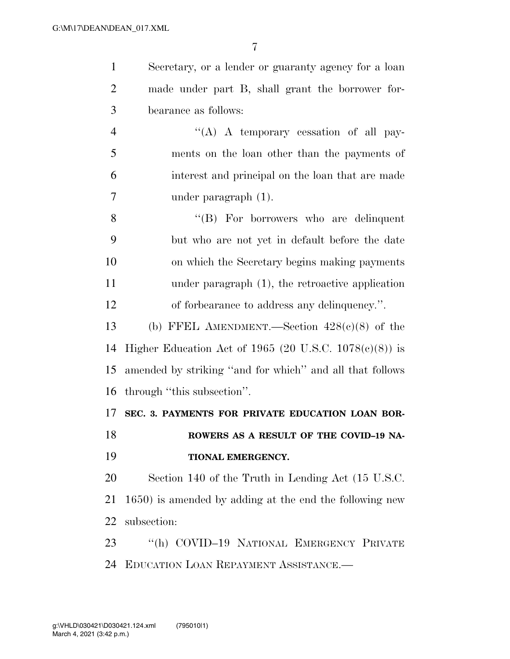| $\mathbf{1}$   | Secretary, or a lender or guaranty agency for a loan      |
|----------------|-----------------------------------------------------------|
| $\overline{2}$ | made under part B, shall grant the borrower for-          |
| 3              | bearance as follows:                                      |
| $\overline{4}$ | "(A) A temporary cessation of all pay-                    |
| 5              | ments on the loan other than the payments of              |
| 6              | interest and principal on the loan that are made          |
| 7              | under paragraph $(1)$ .                                   |
| 8              | $\lq\lq(B)$ For borrowers who are delinquent              |
| 9              | but who are not yet in default before the date            |
| 10             | on which the Secretary begins making payments             |
| 11             | under paragraph $(1)$ , the retroactive application       |
| 12             | of forbearance to address any delinquency.".              |
| 13             | (b) FFEL AMENDMENT.—Section $428(c)(8)$ of the            |
| 14             | Higher Education Act of 1965 (20 U.S.C. $1078(c)(8)$ ) is |
| 15             | amended by striking "and for which" and all that follows  |
| 16             | through "this subsection".                                |
| 17             | SEC. 3. PAYMENTS FOR PRIVATE EDUCATION LOAN BOR-          |
| 18             | ROWERS AS A RESULT OF THE COVID-19 NA-                    |
| 19             | TIONAL EMERGENCY.                                         |
| 20             | Section 140 of the Truth in Lending Act (15 U.S.C.        |
| 21             | 1650) is amended by adding at the end the following new   |
| 22             | subsection:                                               |
| 23             | "(h) COVID-19 NATIONAL EMERGENCY PRIVATE                  |
| 24             | EDUCATION LOAN REPAYMENT ASSISTANCE.                      |
|                |                                                           |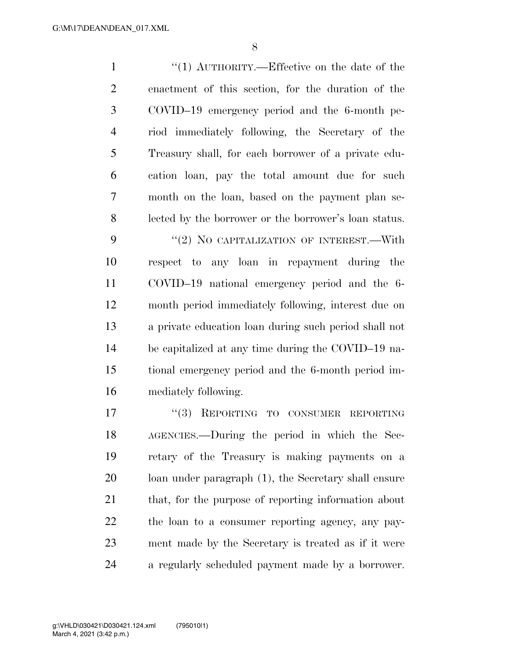1 ''(1) AUTHORITY.—Effective on the date of the enactment of this section, for the duration of the COVID–19 emergency period and the 6-month pe- riod immediately following, the Secretary of the Treasury shall, for each borrower of a private edu- cation loan, pay the total amount due for such month on the loan, based on the payment plan se- lected by the borrower or the borrower's loan status. 9 "(2) NO CAPITALIZATION OF INTEREST.—With respect to any loan in repayment during the COVID–19 national emergency period and the 6- month period immediately following, interest due on a private education loan during such period shall not be capitalized at any time during the COVID–19 na- tional emergency period and the 6-month period im- mediately following. 17 "(3) REPORTING TO CONSUMER REPORTING AGENCIES.—During the period in which the Sec- retary of the Treasury is making payments on a loan under paragraph (1), the Secretary shall ensure that, for the purpose of reporting information about

 the loan to a consumer reporting agency, any pay- ment made by the Secretary is treated as if it were a regularly scheduled payment made by a borrower.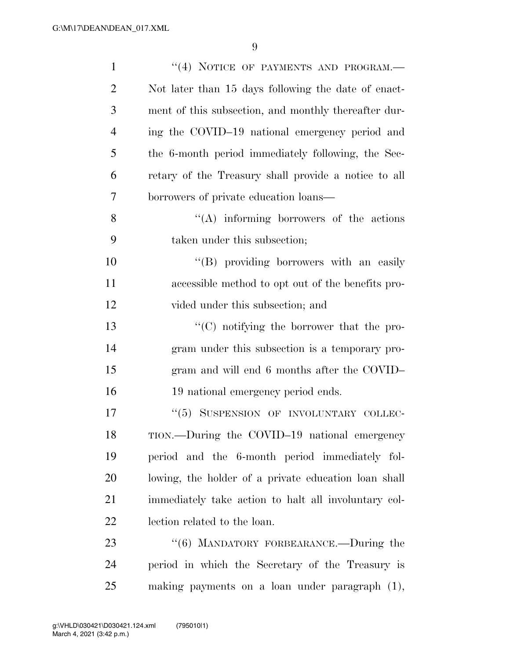| $\mathbf{1}$   | "(4) NOTICE OF PAYMENTS AND PROGRAM.-                |
|----------------|------------------------------------------------------|
| $\overline{2}$ | Not later than 15 days following the date of enact-  |
| 3              | ment of this subsection, and monthly thereafter dur- |
| $\overline{4}$ | ing the COVID-19 national emergency period and       |
| 5              | the 6-month period immediately following, the Sec-   |
| 6              | retary of the Treasury shall provide a notice to all |
| 7              | borrowers of private education loans—                |
| 8              | $\lq\lq$ informing borrowers of the actions          |
| 9              | taken under this subsection;                         |
| 10             | "(B) providing borrowers with an easily              |
| 11             | accessible method to opt out of the benefits pro-    |
| 12             | vided under this subsection; and                     |
| 13             | $\lq\lq$ (C) notifying the borrower that the pro-    |
| 14             | gram under this subsection is a temporary pro-       |
| 15             | gram and will end 6 months after the COVID-          |
| 16             | 19 national emergency period ends.                   |
| 17             | "(5) SUSPENSION OF INVOLUNTARY COLLEC-               |
| 18             | TION.—During the COVID-19 national emergency         |
| 19             | period and the 6-month period immediately fol-       |
| 20             | lowing, the holder of a private education loan shall |
| 21             | immediately take action to halt all involuntary col- |
| 22             | lection related to the loan.                         |
| 23             | " $(6)$ MANDATORY FORBEARANCE.—During the            |
| 24             | period in which the Secretary of the Treasury is     |
| 25             | making payments on a loan under paragraph (1),       |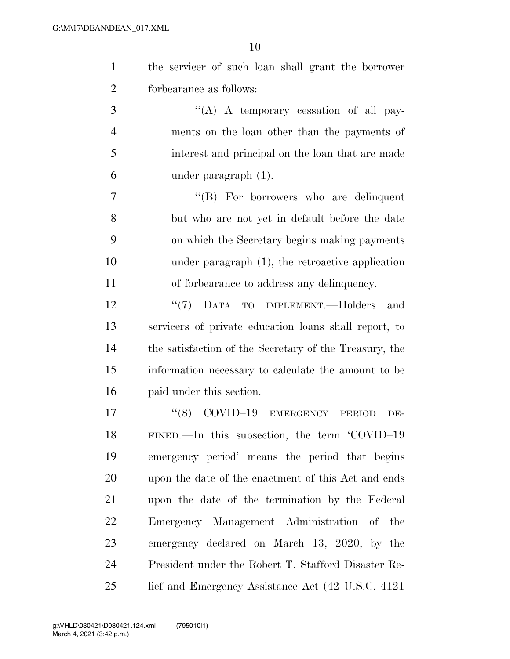| the servicer of such loan shall grant the borrower |
|----------------------------------------------------|
| forbearance as follows:                            |

 $\langle (A) \rangle$  A temporary cessation of all pay- ments on the loan other than the payments of interest and principal on the loan that are made under paragraph (1).

 ''(B) For borrowers who are delinquent but who are not yet in default before the date on which the Secretary begins making payments under paragraph (1), the retroactive application of forbearance to address any delinquency.

12 ''(7) DATA TO IMPLEMENT.—Holders and servicers of private education loans shall report, to the satisfaction of the Secretary of the Treasury, the information necessary to calculate the amount to be paid under this section.

17 "(8) COVID-19 EMERGENCY PERIOD DE- FINED.—In this subsection, the term 'COVID–19 emergency period' means the period that begins upon the date of the enactment of this Act and ends upon the date of the termination by the Federal Emergency Management Administration of the emergency declared on March 13, 2020, by the President under the Robert T. Stafford Disaster Re-lief and Emergency Assistance Act (42 U.S.C. 4121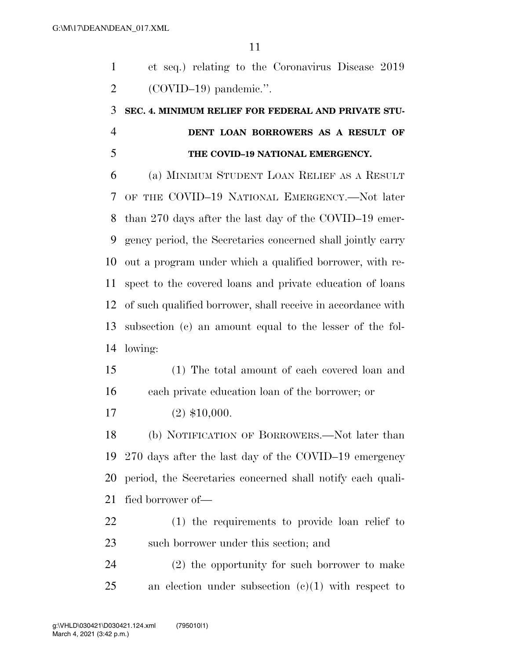et seq.) relating to the Coronavirus Disease 2019 (COVID–19) pandemic.''.

## **SEC. 4. MINIMUM RELIEF FOR FEDERAL AND PRIVATE STU- DENT LOAN BORROWERS AS A RESULT OF THE COVID–19 NATIONAL EMERGENCY.**

 (a) MINIMUM STUDENT LOAN RELIEF AS A RESULT OF THE COVID–19 NATIONAL EMERGENCY.—Not later than 270 days after the last day of the COVID–19 emer- gency period, the Secretaries concerned shall jointly carry out a program under which a qualified borrower, with re- spect to the covered loans and private education of loans of such qualified borrower, shall receive in accordance with subsection (c) an amount equal to the lesser of the fol-lowing:

 (1) The total amount of each covered loan and each private education loan of the borrower; or

(2) \$10,000.

 (b) NOTIFICATION OF BORROWERS.—Not later than 270 days after the last day of the COVID–19 emergency period, the Secretaries concerned shall notify each quali-fied borrower of—

 (1) the requirements to provide loan relief to such borrower under this section; and

 (2) the opportunity for such borrower to make an election under subsection  $(c)(1)$  with respect to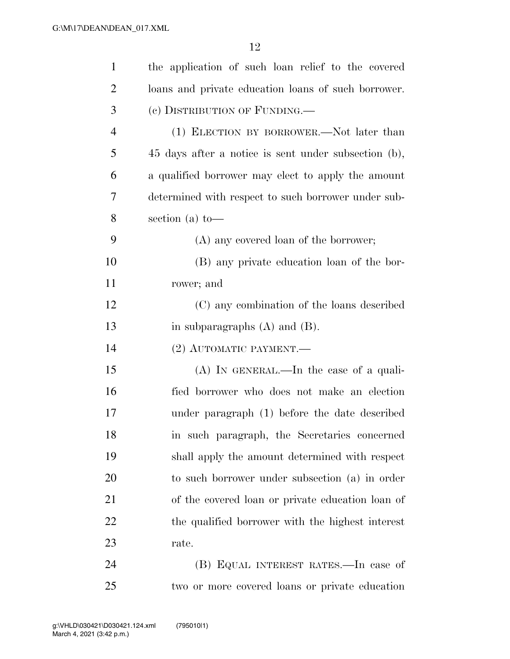| $\mathbf{1}$   | the application of such loan relief to the covered   |
|----------------|------------------------------------------------------|
| $\overline{2}$ | loans and private education loans of such borrower.  |
| 3              | (c) DISTRIBUTION OF FUNDING.—                        |
| $\overline{4}$ | (1) ELECTION BY BORROWER.—Not later than             |
| 5              | 45 days after a notice is sent under subsection (b), |
| 6              | a qualified borrower may elect to apply the amount   |
| 7              | determined with respect to such borrower under sub-  |
| 8              | section (a) to-                                      |
| 9              | (A) any covered loan of the borrower;                |
| 10             | (B) any private education loan of the bor-           |
| 11             | rower; and                                           |
| 12             | (C) any combination of the loans described           |
| 13             | in subparagraphs $(A)$ and $(B)$ .                   |
| 14             | $(2)$ AUTOMATIC PAYMENT.—                            |
| 15             | $(A)$ In GENERAL.—In the case of a quali-            |
| 16             | fied borrower who does not make an election          |
| 17             | under paragraph (1) before the date described        |
| 18             | in such paragraph, the Secretaries concerned         |
| 19             | shall apply the amount determined with respect       |
| 20             | to such borrower under subsection (a) in order       |
| 21             | of the covered loan or private education loan of     |
| 22             | the qualified borrower with the highest interest     |
| 23             | rate.                                                |
| 24             | (B) EQUAL INTEREST RATES.—In case of                 |
| 25             | two or more covered loans or private education       |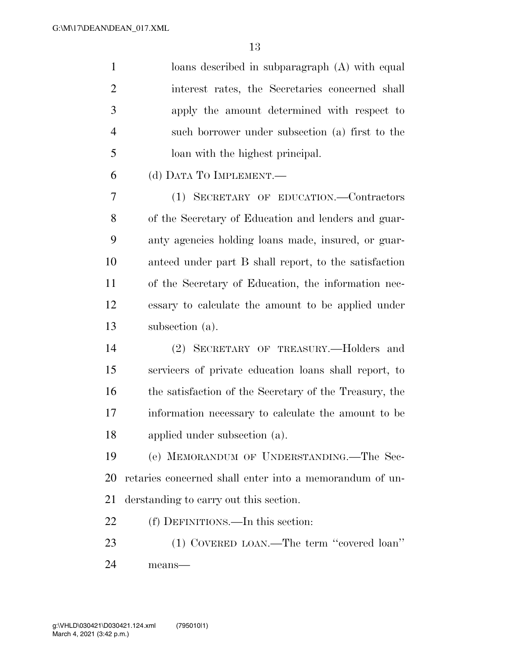loans described in subparagraph (A) with equal interest rates, the Secretaries concerned shall apply the amount determined with respect to such borrower under subsection (a) first to the loan with the highest principal.

(d) DATA TO IMPLEMENT.—

 (1) SECRETARY OF EDUCATION.—Contractors of the Secretary of Education and lenders and guar- anty agencies holding loans made, insured, or guar- anteed under part B shall report, to the satisfaction of the Secretary of Education, the information nec- essary to calculate the amount to be applied under subsection (a).

 (2) SECRETARY OF TREASURY.—Holders and servicers of private education loans shall report, to the satisfaction of the Secretary of the Treasury, the information necessary to calculate the amount to be applied under subsection (a).

 (e) MEMORANDUM OF UNDERSTANDING.—The Sec- retaries concerned shall enter into a memorandum of un-derstanding to carry out this section.

(f) DEFINITIONS.—In this section:

23 (1) COVERED LOAN.—The term "covered loan" means—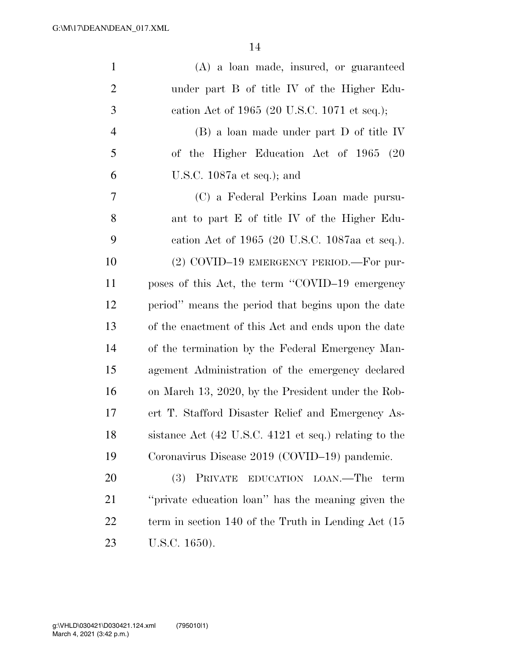| $\mathbf{1}$   | (A) a loan made, insured, or guaranteed                  |
|----------------|----------------------------------------------------------|
| $\overline{2}$ | under part B of title IV of the Higher Edu-              |
| 3              | cation Act of 1965 (20 U.S.C. 1071 et seq.);             |
| $\overline{4}$ | (B) a loan made under part D of title IV                 |
| 5              | of the Higher Education Act of 1965 (20                  |
| 6              | U.S.C. $1087a$ et seq.); and                             |
| $\overline{7}$ | (C) a Federal Perkins Loan made pursu-                   |
| 8              | ant to part E of title IV of the Higher Edu-             |
| 9              | cation Act of 1965 (20 U.S.C. 1087aa et seq.).           |
| 10             | (2) COVID-19 EMERGENCY PERIOD.—For pur-                  |
| 11             | poses of this Act, the term "COVID-19 emergency          |
| 12             | period" means the period that begins upon the date       |
| 13             | of the enactment of this Act and ends upon the date      |
| 14             | of the termination by the Federal Emergency Man-         |
| 15             | agement Administration of the emergency declared         |
| 16             | on March 13, 2020, by the President under the Rob-       |
| 17             | ert T. Stafford Disaster Relief and Emergency As-        |
| 18             | sistance Act (42 U.S.C. 4121 et seq.) relating to the    |
| 19             | Coronavirus Disease 2019 (COVID-19) pandemic.            |
| <b>20</b>      | PRIVATE EDUCATION LOAN.—The<br>(3)<br>term               |
| 21             | "private education loan" has the meaning given the       |
| 22             | term in section $140$ of the Truth in Lending Act $(15)$ |
| 23             | U.S.C. 1650).                                            |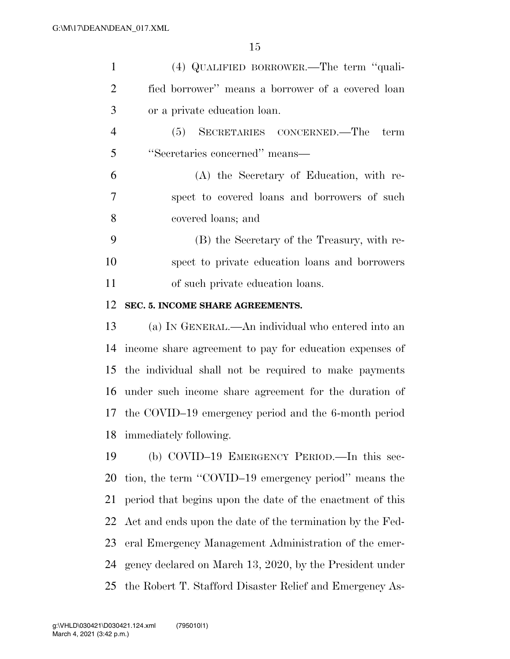| $\mathbf{1}$   | (4) QUALIFIED BORROWER.—The term "quali-                  |
|----------------|-----------------------------------------------------------|
| $\overline{2}$ | fied borrower" means a borrower of a covered loan         |
| 3              | or a private education loan.                              |
| $\overline{4}$ | (5) SECRETARIES CONCERNED.—The<br>term                    |
| 5              | "Secretaries concerned" means-                            |
| 6              | (A) the Secretary of Education, with re-                  |
| $\overline{7}$ | spect to covered loans and borrowers of such              |
| 8              | covered loans; and                                        |
| 9              | (B) the Secretary of the Treasury, with re-               |
| 10             | spect to private education loans and borrowers            |
| 11             | of such private education loans.                          |
| 12             | SEC. 5. INCOME SHARE AGREEMENTS.                          |
| 13             | (a) IN GENERAL.—An individual who entered into an         |
| 14             | income share agreement to pay for education expenses of   |
| 15             | the individual shall not be required to make payments     |
| 16             | under such income share agreement for the duration of     |
|                | 17 the COVID-19 emergency period and the 6-month period   |
| 18             | immediately following.                                    |
| 19             | (b) COVID-19 EMERGENCY PERIOD.—In this sec-               |
| 20             | tion, the term "COVID-19 emergency period" means the      |
| 21             | period that begins upon the date of the enactment of this |
| 22             | Act and ends upon the date of the termination by the Fed- |
| 23             | eral Emergency Management Administration of the emer-     |
| 24             | gency declared on March 13, 2020, by the President under  |
| 25             | the Robert T. Stafford Disaster Relief and Emergency As-  |